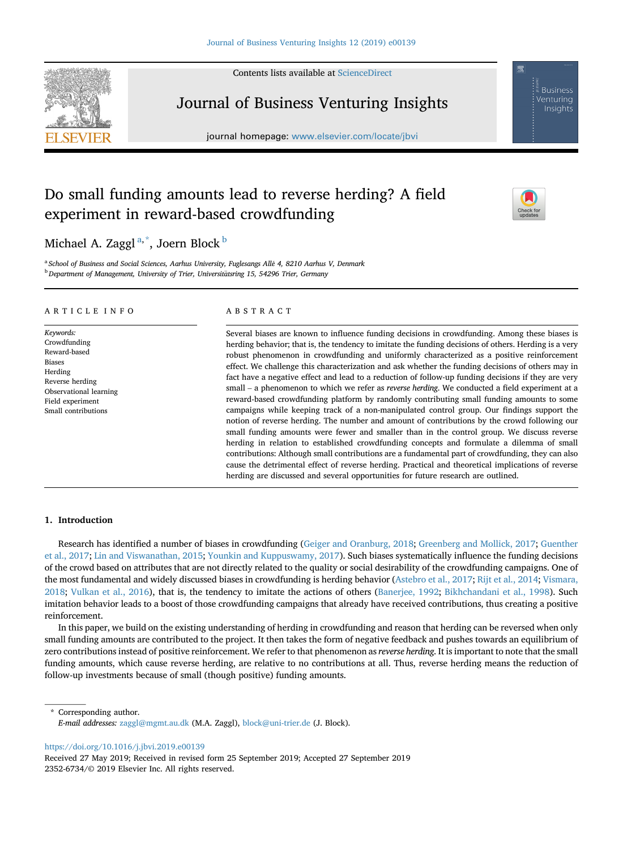Contents lists available at [ScienceDirect](www.sciencedirect.com/science/journal/23526734)



Journal of Business Venturing Insights

journal homepage: <www.elsevier.com/locate/jbvi>

# Do small funding amounts lead to reverse herding? A field experiment in reward-based crowdfunding



**Business** Venturina Insights

Michael A. Zaggl<sup>a,\*</sup>, Joern Block  $^{\rm b}$ 

<sup>a</sup> School of Business and Social Sciences, Aarhus University, Fuglesangs Allé 4, 8210 Aarhus V, Denmark <sup>b</sup> Department of Management, University of Trier, Universitätsring 15, 54296 Trier, Germany

# ARTICLE INFO

Keywords: Crowdfunding Reward-based Biases Herding Reverse herding Observational learning Field experiment Small contributions

## ABSTRACT

Several biases are known to influence funding decisions in crowdfunding. Among these biases is herding behavior; that is, the tendency to imitate the funding decisions of others. Herding is a very robust phenomenon in crowdfunding and uniformly characterized as a positive reinforcement effect. We challenge this characterization and ask whether the funding decisions of others may in fact have a negative effect and lead to a reduction of follow-up funding decisions if they are very small – a phenomenon to which we refer as *reverse herding*. We conducted a field experiment at a reward-based crowdfunding platform by randomly contributing small funding amounts to some campaigns while keeping track of a non-manipulated control group. Our findings support the notion of reverse herding. The number and amount of contributions by the crowd following our small funding amounts were fewer and smaller than in the control group. We discuss reverse herding in relation to established crowdfunding concepts and formulate a dilemma of small contributions: Although small contributions are a fundamental part of crowdfunding, they can also cause the detrimental effect of reverse herding. Practical and theoretical implications of reverse herding are discussed and several opportunities for future research are outlined.

# 1. Introduction

Research has identified a number of biases in crowdfunding ([Geiger and Oranburg, 2018;](#page-5-0) [Greenberg and Mollick, 2017](#page-6-0); [Guenther](#page-6-0) [et al., 2017](#page-6-0); [Lin and Viswanathan, 2015](#page-6-0); [Younkin and Kuppuswamy, 2017\)](#page-6-0). Such biases systematically influence the funding decisions of the crowd based on attributes that are not directly related to the quality or social desirability of the crowdfunding campaigns. One of the most fundamental and widely discussed biases in crowdfunding is herding behavior ([Astebro et al., 2017](#page-5-0); [Rijt et al., 2014;](#page-6-0) [Vismara,](#page-6-0) [2018;](#page-6-0) [Vulkan et al., 2016](#page-6-0)), that is, the tendency to imitate the actions of others [\(Banerjee, 1992;](#page-5-0) [Bikhchandani et al., 1998](#page-5-0)). Such imitation behavior leads to a boost of those crowdfunding campaigns that already have received contributions, thus creating a positive reinforcement.

In this paper, we build on the existing understanding of herding in crowdfunding and reason that herding can be reversed when only small funding amounts are contributed to the project. It then takes the form of negative feedback and pushes towards an equilibrium of zero contributions instead of positive reinforcement. We refer to that phenomenon as reverse herding. It is important to note that the small funding amounts, which cause reverse herding, are relative to no contributions at all. Thus, reverse herding means the reduction of follow-up investments because of small (though positive) funding amounts.

\* Corresponding author. E-mail addresses: [zaggl@mgmt.au.dk](mailto:zaggl@mgmt.au.dk) (M.A. Zaggl), [block@uni-trier.de](mailto:block@uni-trier.de) (J. Block).

<https://doi.org/10.1016/j.jbvi.2019.e00139>

Received 27 May 2019; Received in revised form 25 September 2019; Accepted 27 September 2019 2352-6734/© 2019 Elsevier Inc. All rights reserved.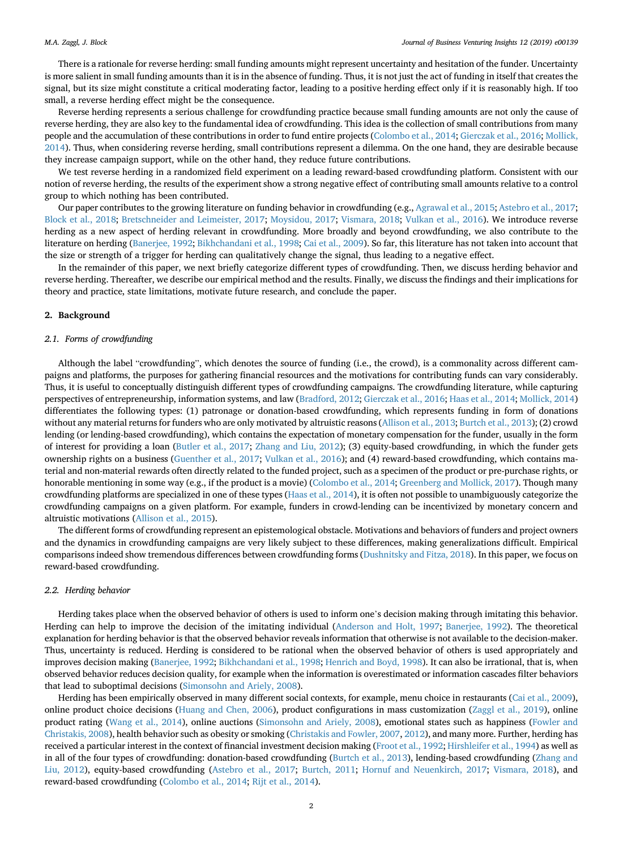There is a rationale for reverse herding: small funding amounts might represent uncertainty and hesitation of the funder. Uncertainty is more salient in small funding amounts than it is in the absence of funding. Thus, it is not just the act of funding in itself that creates the signal, but its size might constitute a critical moderating factor, leading to a positive herding effect only if it is reasonably high. If too small, a reverse herding effect might be the consequence.

Reverse herding represents a serious challenge for crowdfunding practice because small funding amounts are not only the cause of reverse herding, they are also key to the fundamental idea of crowdfunding. This idea is the collection of small contributions from many people and the accumulation of these contributions in order to fund entire projects ([Colombo et al., 2014](#page-5-0); [Gierczak et al., 2016](#page-6-0); [Mollick,](#page-6-0) [2014\)](#page-6-0). Thus, when considering reverse herding, small contributions represent a dilemma. On the one hand, they are desirable because they increase campaign support, while on the other hand, they reduce future contributions.

We test reverse herding in a randomized field experiment on a leading reward-based crowdfunding platform. Consistent with our notion of reverse herding, the results of the experiment show a strong negative effect of contributing small amounts relative to a control group to which nothing has been contributed.

Our paper contributes to the growing literature on funding behavior in crowdfunding (e.g., [Agrawal et al., 2015;](#page-5-0) [Astebro et al., 2017](#page-5-0); [Block et al., 2018](#page-5-0); [Bretschneider and Leimeister, 2017;](#page-5-0) [Moysidou, 2017](#page-6-0); [Vismara, 2018;](#page-6-0) [Vulkan et al., 2016](#page-6-0)). We introduce reverse herding as a new aspect of herding relevant in crowdfunding. More broadly and beyond crowdfunding, we also contribute to the literature on herding [\(Banerjee, 1992](#page-5-0); [Bikhchandani et al., 1998](#page-5-0); [Cai et al., 2009\)](#page-5-0). So far, this literature has not taken into account that the size or strength of a trigger for herding can qualitatively change the signal, thus leading to a negative effect.

In the remainder of this paper, we next briefly categorize different types of crowdfunding. Then, we discuss herding behavior and reverse herding. Thereafter, we describe our empirical method and the results. Finally, we discuss the findings and their implications for theory and practice, state limitations, motivate future research, and conclude the paper.

## 2. Background

## 2.1. Forms of crowdfunding

Although the label "crowdfunding", which denotes the source of funding (i.e., the crowd), is a commonality across different campaigns and platforms, the purposes for gathering financial resources and the motivations for contributing funds can vary considerably. Thus, it is useful to conceptually distinguish different types of crowdfunding campaigns. The crowdfunding literature, while capturing perspectives of entrepreneurship, information systems, and law ([Bradford, 2012](#page-5-0); [Gierczak et al., 2016;](#page-6-0) [Haas et al., 2014](#page-6-0); [Mollick, 2014](#page-6-0)) differentiates the following types: (1) patronage or donation-based crowdfunding, which represents funding in form of donations without any material returns for funders who are only motivated by altruistic reasons ([Allison et al., 2013](#page-5-0); [Burtch et al., 2013\)](#page-5-0); (2) crowd lending (or lending-based crowdfunding), which contains the expectation of monetary compensation for the funder, usually in the form of interest for providing a loan [\(Butler et al., 2017](#page-5-0); [Zhang and Liu, 2012\)](#page-6-0); (3) equity-based crowdfunding, in which the funder gets ownership rights on a business [\(Guenther et al., 2017;](#page-6-0) [Vulkan et al., 2016](#page-6-0)); and (4) reward-based crowdfunding, which contains material and non-material rewards often directly related to the funded project, such as a specimen of the product or pre-purchase rights, or honorable mentioning in some way (e.g., if the product is a movie) [\(Colombo et al., 2014](#page-5-0); [Greenberg and Mollick, 2017](#page-6-0)). Though many crowdfunding platforms are specialized in one of these types ([Haas et al., 2014](#page-6-0)), it is often not possible to unambiguously categorize the crowdfunding campaigns on a given platform. For example, funders in crowd-lending can be incentivized by monetary concern and altruistic motivations ([Allison et al., 2015](#page-5-0)).

The different forms of crowdfunding represent an epistemological obstacle. Motivations and behaviors of funders and project owners and the dynamics in crowdfunding campaigns are very likely subject to these differences, making generalizations difficult. Empirical comparisons indeed show tremendous differences between crowdfunding forms ([Dushnitsky and Fitza, 2018](#page-5-0)). In this paper, we focus on reward-based crowdfunding.

## 2.2. Herding behavior

Herding takes place when the observed behavior of others is used to inform one's decision making through imitating this behavior. Herding can help to improve the decision of the imitating individual ([Anderson and Holt, 1997](#page-5-0); [Banerjee, 1992](#page-5-0)). The theoretical explanation for herding behavior is that the observed behavior reveals information that otherwise is not available to the decision-maker. Thus, uncertainty is reduced. Herding is considered to be rational when the observed behavior of others is used appropriately and improves decision making ([Banerjee, 1992](#page-5-0); [Bikhchandani et al., 1998](#page-5-0); [Henrich and Boyd, 1998](#page-6-0)). It can also be irrational, that is, when observed behavior reduces decision quality, for example when the information is overestimated or information cascades filter behaviors that lead to suboptimal decisions ([Simonsohn and Ariely, 2008\)](#page-6-0).

Herding has been empirically observed in many different social contexts, for example, menu choice in restaurants ([Cai et al., 2009](#page-5-0)), online product choice decisions [\(Huang and Chen, 2006](#page-6-0)), product configurations in mass customization ([Zaggl et al., 2019](#page-6-0)), online product rating [\(Wang et al., 2014](#page-6-0)), online auctions ([Simonsohn and Ariely, 2008](#page-6-0)), emotional states such as happiness [\(Fowler and](#page-5-0) [Christakis, 2008](#page-5-0)), health behavior such as obesity or smoking [\(Christakis and Fowler, 2007,](#page-5-0) [2012](#page-5-0)), and many more. Further, herding has received a particular interest in the context of financial investment decision making ([Froot et al., 1992](#page-5-0); [Hirshleifer et al., 1994](#page-6-0)) as well as in all of the four types of crowdfunding: donation-based crowdfunding ([Burtch et al., 2013](#page-5-0)), lending-based crowdfunding [\(Zhang and](#page-6-0) [Liu, 2012\)](#page-6-0), equity-based crowdfunding ([Astebro et al., 2017](#page-5-0); [Burtch, 2011;](#page-5-0) [Hornuf and Neuenkirch, 2017;](#page-6-0) [Vismara, 2018\)](#page-6-0), and reward-based crowdfunding [\(Colombo et al., 2014;](#page-5-0) [Rijt et al., 2014](#page-6-0)).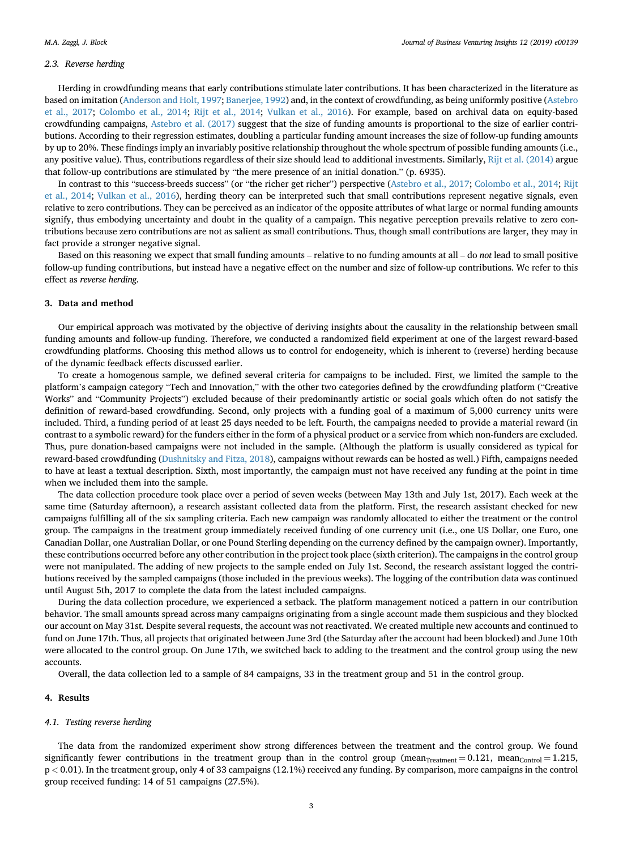## 2.3. Reverse herding

Herding in crowdfunding means that early contributions stimulate later contributions. It has been characterized in the literature as based on imitation ([Anderson and Holt, 1997;](#page-5-0) [Banerjee, 1992\)](#page-5-0) and, in the context of crowdfunding, as being uniformly positive [\(Astebro](#page-5-0) [et al., 2017](#page-5-0); [Colombo et al., 2014;](#page-5-0) [Rijt et al., 2014;](#page-6-0) [Vulkan et al., 2016\)](#page-6-0). For example, based on archival data on equity-based crowdfunding campaigns, [Astebro et al. \(2017\)](#page-5-0) suggest that the size of funding amounts is proportional to the size of earlier contributions. According to their regression estimates, doubling a particular funding amount increases the size of follow-up funding amounts by up to 20%. These findings imply an invariably positive relationship throughout the whole spectrum of possible funding amounts (i.e., any positive value). Thus, contributions regardless of their size should lead to additional investments. Similarly, [Rijt et al. \(2014\)](#page-6-0) argue that follow-up contributions are stimulated by "the mere presence of an initial donation." (p. 6935).

In contrast to this "success-breeds success" (or "the richer get richer") perspective ([Astebro et al., 2017;](#page-5-0) [Colombo et al., 2014](#page-5-0); [Rijt](#page-6-0) [et al., 2014;](#page-6-0) [Vulkan et al., 2016\)](#page-6-0), herding theory can be interpreted such that small contributions represent negative signals, even relative to zero contributions. They can be perceived as an indicator of the opposite attributes of what large or normal funding amounts signify, thus embodying uncertainty and doubt in the quality of a campaign. This negative perception prevails relative to zero contributions because zero contributions are not as salient as small contributions. Thus, though small contributions are larger, they may in fact provide a stronger negative signal.

Based on this reasoning we expect that small funding amounts – relative to no funding amounts at all – do not lead to small positive follow-up funding contributions, but instead have a negative effect on the number and size of follow-up contributions. We refer to this effect as reverse herding.

## 3. Data and method

Our empirical approach was motivated by the objective of deriving insights about the causality in the relationship between small funding amounts and follow-up funding. Therefore, we conducted a randomized field experiment at one of the largest reward-based crowdfunding platforms. Choosing this method allows us to control for endogeneity, which is inherent to (reverse) herding because of the dynamic feedback effects discussed earlier.

To create a homogenous sample, we defined several criteria for campaigns to be included. First, we limited the sample to the platform's campaign category "Tech and Innovation," with the other two categories defined by the crowdfunding platform ("Creative Works" and "Community Projects") excluded because of their predominantly artistic or social goals which often do not satisfy the definition of reward-based crowdfunding. Second, only projects with a funding goal of a maximum of 5,000 currency units were included. Third, a funding period of at least 25 days needed to be left. Fourth, the campaigns needed to provide a material reward (in contrast to a symbolic reward) for the funders either in the form of a physical product or a service from which non-funders are excluded. Thus, pure donation-based campaigns were not included in the sample. (Although the platform is usually considered as typical for reward-based crowdfunding ([Dushnitsky and Fitza, 2018\)](#page-5-0), campaigns without rewards can be hosted as well.) Fifth, campaigns needed to have at least a textual description. Sixth, most importantly, the campaign must not have received any funding at the point in time when we included them into the sample.

The data collection procedure took place over a period of seven weeks (between May 13th and July 1st, 2017). Each week at the same time (Saturday afternoon), a research assistant collected data from the platform. First, the research assistant checked for new campaigns fulfilling all of the six sampling criteria. Each new campaign was randomly allocated to either the treatment or the control group. The campaigns in the treatment group immediately received funding of one currency unit (i.e., one US Dollar, one Euro, one Canadian Dollar, one Australian Dollar, or one Pound Sterling depending on the currency defined by the campaign owner). Importantly, these contributions occurred before any other contribution in the project took place (sixth criterion). The campaigns in the control group were not manipulated. The adding of new projects to the sample ended on July 1st. Second, the research assistant logged the contributions received by the sampled campaigns (those included in the previous weeks). The logging of the contribution data was continued until August 5th, 2017 to complete the data from the latest included campaigns.

During the data collection procedure, we experienced a setback. The platform management noticed a pattern in our contribution behavior. The small amounts spread across many campaigns originating from a single account made them suspicious and they blocked our account on May 31st. Despite several requests, the account was not reactivated. We created multiple new accounts and continued to fund on June 17th. Thus, all projects that originated between June 3rd (the Saturday after the account had been blocked) and June 10th were allocated to the control group. On June 17th, we switched back to adding to the treatment and the control group using the new accounts.

Overall, the data collection led to a sample of 84 campaigns, 33 in the treatment group and 51 in the control group.

## 4. Results

## 4.1. Testing reverse herding

The data from the randomized experiment show strong differences between the treatment and the control group. We found significantly fewer contributions in the treatment group than in the control group (mean $_{\text{Treanment}} = 0.121$ , mean $_{\text{Control}} = 1.215$ , p < 0.01). In the treatment group, only 4 of 33 campaigns (12.1%) received any funding. By comparison, more campaigns in the control group received funding: 14 of 51 campaigns (27.5%).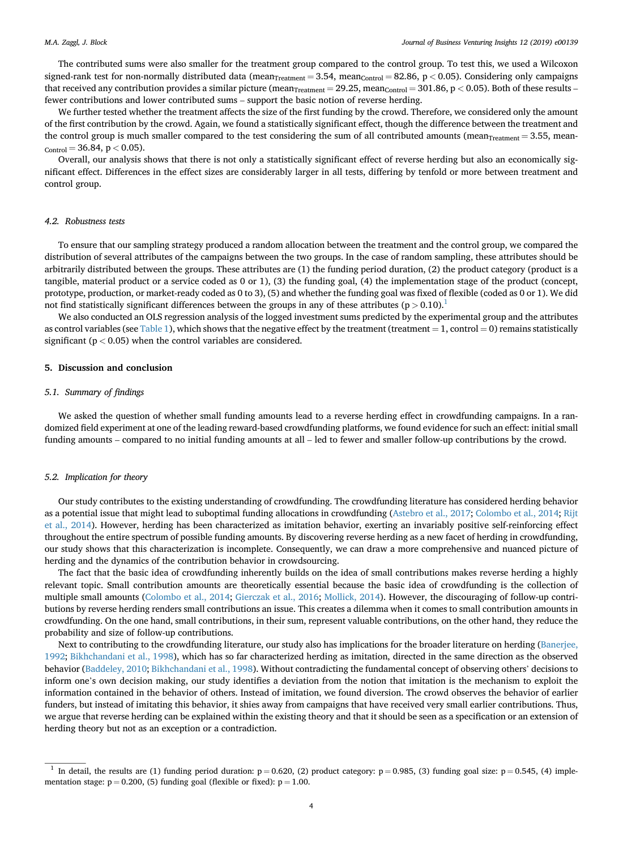The contributed sums were also smaller for the treatment group compared to the control group. To test this, we used a Wilcoxon signed-rank test for non-normally distributed data (mean<sub>Treatment</sub> = 3.54, mean<sub>Control</sub> = 82.86, p < 0.05). Considering only campaigns that received any contribution provides a similar picture (mean<sub>Treatment</sub> = 29.25, mean<sub>Control</sub> = 301.86, p < 0.05). Both of these results – fewer contributions and lower contributed sums – support the basic notion of reverse herding.

We further tested whether the treatment affects the size of the first funding by the crowd. Therefore, we considered only the amount of the first contribution by the crowd. Again, we found a statistically significant effect, though the difference between the treatment and the control group is much smaller compared to the test considering the sum of all contributed amounts (mean $_{Treatment} = 3.55$ , mean- $_{\rm Control} = 36.84, p < 0.05$ ).

Overall, our analysis shows that there is not only a statistically significant effect of reverse herding but also an economically significant effect. Differences in the effect sizes are considerably larger in all tests, differing by tenfold or more between treatment and control group.

## 4.2. Robustness tests

To ensure that our sampling strategy produced a random allocation between the treatment and the control group, we compared the distribution of several attributes of the campaigns between the two groups. In the case of random sampling, these attributes should be arbitrarily distributed between the groups. These attributes are (1) the funding period duration, (2) the product category (product is a tangible, material product or a service coded as 0 or 1), (3) the funding goal, (4) the implementation stage of the product (concept, prototype, production, or market-ready coded as 0 to 3), (5) and whether the funding goal was fixed of flexible (coded as 0 or 1). We did not find statistically significant differences between the groups in any of these attributes ( $p > 0.10$ ).<sup>1</sup>

We also conducted an OLS regression analysis of the logged investment sums predicted by the experimental group and the attributes as control variables (see [Table 1\)](#page-4-0), which shows that the negative effect by the treatment (treatment  $= 1$ , control  $= 0$ ) remains statistically significant ( $p < 0.05$ ) when the control variables are considered.

## 5. Discussion and conclusion

#### 5.1. Summary of findings

We asked the question of whether small funding amounts lead to a reverse herding effect in crowdfunding campaigns. In a randomized field experiment at one of the leading reward-based crowdfunding platforms, we found evidence for such an effect: initial small funding amounts – compared to no initial funding amounts at all – led to fewer and smaller follow-up contributions by the crowd.

## 5.2. Implication for theory

Our study contributes to the existing understanding of crowdfunding. The crowdfunding literature has considered herding behavior as a potential issue that might lead to suboptimal funding allocations in crowdfunding [\(Astebro et al., 2017;](#page-5-0) [Colombo et al., 2014](#page-5-0); [Rijt](#page-6-0) [et al., 2014\)](#page-6-0). However, herding has been characterized as imitation behavior, exerting an invariably positive self-reinforcing effect throughout the entire spectrum of possible funding amounts. By discovering reverse herding as a new facet of herding in crowdfunding, our study shows that this characterization is incomplete. Consequently, we can draw a more comprehensive and nuanced picture of herding and the dynamics of the contribution behavior in crowdsourcing.

The fact that the basic idea of crowdfunding inherently builds on the idea of small contributions makes reverse herding a highly relevant topic. Small contribution amounts are theoretically essential because the basic idea of crowdfunding is the collection of multiple small amounts [\(Colombo et al., 2014](#page-5-0); [Gierczak et al., 2016;](#page-6-0) [Mollick, 2014](#page-6-0)). However, the discouraging of follow-up contributions by reverse herding renders small contributions an issue. This creates a dilemma when it comes to small contribution amounts in crowdfunding. On the one hand, small contributions, in their sum, represent valuable contributions, on the other hand, they reduce the probability and size of follow-up contributions.

Next to contributing to the crowdfunding literature, our study also has implications for the broader literature on herding ([Banerjee,](#page-5-0) [1992;](#page-5-0) [Bikhchandani et al., 1998\)](#page-5-0), which has so far characterized herding as imitation, directed in the same direction as the observed behavior ([Baddeley, 2010](#page-5-0); [Bikhchandani et al., 1998\)](#page-5-0). Without contradicting the fundamental concept of observing others' decisions to inform one's own decision making, our study identifies a deviation from the notion that imitation is the mechanism to exploit the information contained in the behavior of others. Instead of imitation, we found diversion. The crowd observes the behavior of earlier funders, but instead of imitating this behavior, it shies away from campaigns that have received very small earlier contributions. Thus, we argue that reverse herding can be explained within the existing theory and that it should be seen as a specification or an extension of herding theory but not as an exception or a contradiction.

<sup>&</sup>lt;sup>1</sup> In detail, the results are (1) funding period duration:  $p = 0.620$ , (2) product category:  $p = 0.985$ , (3) funding goal size:  $p = 0.545$ , (4) implementation stage:  $p = 0.200$ , (5) funding goal (flexible or fixed):  $p = 1.00$ .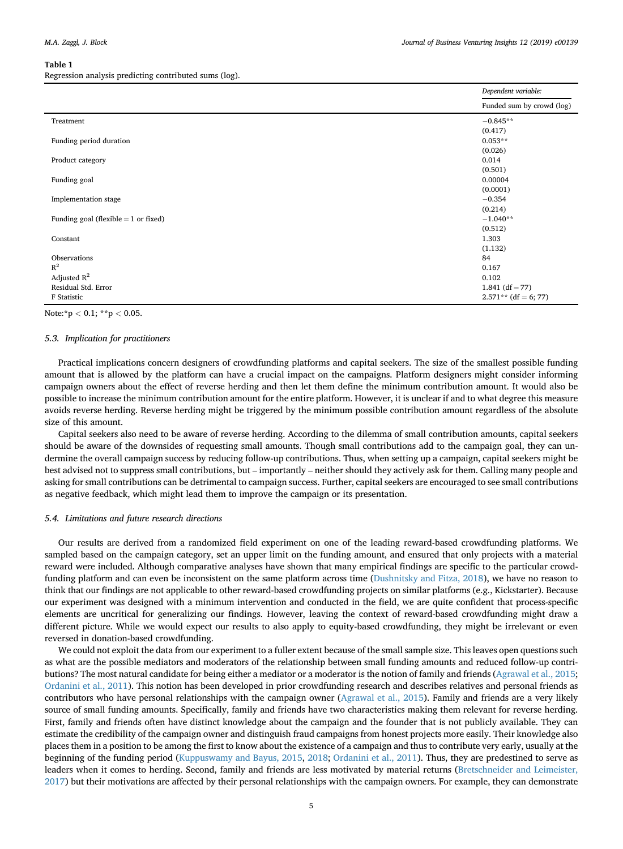#### <span id="page-4-0"></span>Table 1

Regression analysis predicting contributed sums (log).

|                                        | Dependent variable:       |
|----------------------------------------|---------------------------|
|                                        | Funded sum by crowd (log) |
| Treatment                              | $-0.845**$                |
|                                        | (0.417)                   |
| Funding period duration                | $0.053**$                 |
|                                        | (0.026)                   |
| Product category                       | 0.014                     |
|                                        | (0.501)                   |
| Funding goal                           | 0.00004                   |
|                                        | (0.0001)                  |
| Implementation stage                   | $-0.354$                  |
|                                        | (0.214)                   |
| Funding goal (flexible $= 1$ or fixed) | $-1.040**$                |
|                                        | (0.512)                   |
| Constant                               | 1.303                     |
|                                        | (1.132)                   |
| Observations                           | 84                        |
| $R^2$                                  | 0.167                     |
| Adjusted $R^2$                         | 0.102                     |
| Residual Std. Error                    | 1.841 $(df = 77)$         |
| F Statistic                            | $2.571**$ (df = 6; 77)    |

Note:\*p  $< 0.1$ ; \*\*p  $< 0.05$ .

## 5.3. Implication for practitioners

Practical implications concern designers of crowdfunding platforms and capital seekers. The size of the smallest possible funding amount that is allowed by the platform can have a crucial impact on the campaigns. Platform designers might consider informing campaign owners about the effect of reverse herding and then let them define the minimum contribution amount. It would also be possible to increase the minimum contribution amount for the entire platform. However, it is unclear if and to what degree this measure avoids reverse herding. Reverse herding might be triggered by the minimum possible contribution amount regardless of the absolute size of this amount.

Capital seekers also need to be aware of reverse herding. According to the dilemma of small contribution amounts, capital seekers should be aware of the downsides of requesting small amounts. Though small contributions add to the campaign goal, they can undermine the overall campaign success by reducing follow-up contributions. Thus, when setting up a campaign, capital seekers might be best advised not to suppress small contributions, but – importantly – neither should they actively ask for them. Calling many people and asking for small contributions can be detrimental to campaign success. Further, capital seekers are encouraged to see small contributions as negative feedback, which might lead them to improve the campaign or its presentation.

## 5.4. Limitations and future research directions

Our results are derived from a randomized field experiment on one of the leading reward-based crowdfunding platforms. We sampled based on the campaign category, set an upper limit on the funding amount, and ensured that only projects with a material reward were included. Although comparative analyses have shown that many empirical findings are specific to the particular crowdfunding platform and can even be inconsistent on the same platform across time ([Dushnitsky and Fitza, 2018\)](#page-5-0), we have no reason to think that our findings are not applicable to other reward-based crowdfunding projects on similar platforms (e.g., Kickstarter). Because our experiment was designed with a minimum intervention and conducted in the field, we are quite confident that process-specific elements are uncritical for generalizing our findings. However, leaving the context of reward-based crowdfunding might draw a different picture. While we would expect our results to also apply to equity-based crowdfunding, they might be irrelevant or even reversed in donation-based crowdfunding.

We could not exploit the data from our experiment to a fuller extent because of the small sample size. This leaves open questions such as what are the possible mediators and moderators of the relationship between small funding amounts and reduced follow-up contributions? The most natural candidate for being either a mediator or a moderator is the notion of family and friends ([Agrawal et al., 2015](#page-5-0); [Ordanini et al., 2011\)](#page-6-0). This notion has been developed in prior crowdfunding research and describes relatives and personal friends as contributors who have personal relationships with the campaign owner [\(Agrawal et al., 2015](#page-5-0)). Family and friends are a very likely source of small funding amounts. Specifically, family and friends have two characteristics making them relevant for reverse herding. First, family and friends often have distinct knowledge about the campaign and the founder that is not publicly available. They can estimate the credibility of the campaign owner and distinguish fraud campaigns from honest projects more easily. Their knowledge also places them in a position to be among the first to know about the existence of a campaign and thus to contribute very early, usually at the beginning of the funding period [\(Kuppuswamy and Bayus, 2015](#page-6-0), [2018;](#page-6-0) [Ordanini et al., 2011\)](#page-6-0). Thus, they are predestined to serve as leaders when it comes to herding. Second, family and friends are less motivated by material returns [\(Bretschneider and Leimeister,](#page-5-0) [2017\)](#page-5-0) but their motivations are affected by their personal relationships with the campaign owners. For example, they can demonstrate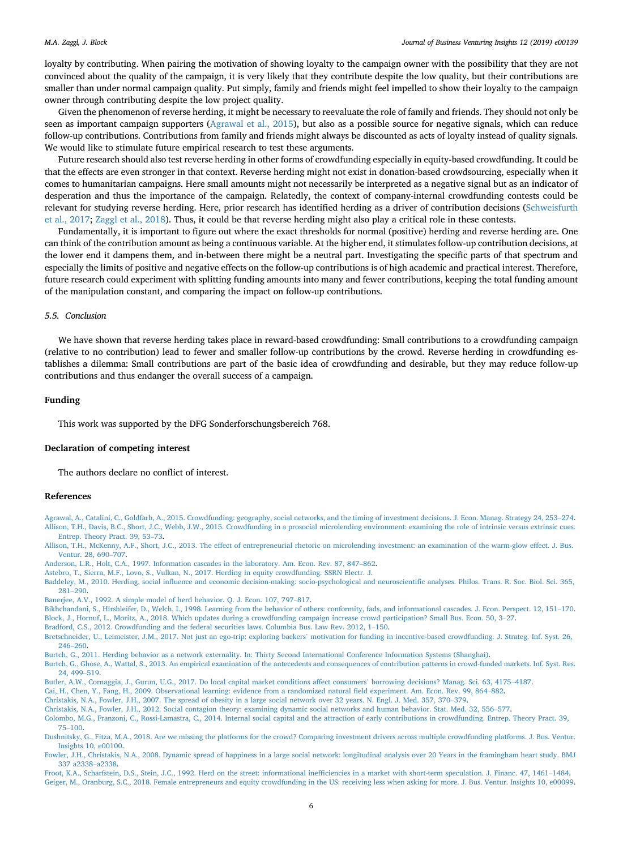<span id="page-5-0"></span>loyalty by contributing. When pairing the motivation of showing loyalty to the campaign owner with the possibility that they are not convinced about the quality of the campaign, it is very likely that they contribute despite the low quality, but their contributions are smaller than under normal campaign quality. Put simply, family and friends might feel impelled to show their loyalty to the campaign owner through contributing despite the low project quality.

Given the phenomenon of reverse herding, it might be necessary to reevaluate the role of family and friends. They should not only be seen as important campaign supporters (Agrawal et al., 2015), but also as a possible source for negative signals, which can reduce follow-up contributions. Contributions from family and friends might always be discounted as acts of loyalty instead of quality signals. We would like to stimulate future empirical research to test these arguments.

Future research should also test reverse herding in other forms of crowdfunding especially in equity-based crowdfunding. It could be that the effects are even stronger in that context. Reverse herding might not exist in donation-based crowdsourcing, especially when it comes to humanitarian campaigns. Here small amounts might not necessarily be interpreted as a negative signal but as an indicator of desperation and thus the importance of the campaign. Relatedly, the context of company-internal crowdfunding contests could be relevant for studying reverse herding. Here, prior research has identified herding as a driver of contribution decisions ([Schweisfurth](#page-6-0) [et al., 2017;](#page-6-0) [Zaggl et al., 2018\)](#page-6-0). Thus, it could be that reverse herding might also play a critical role in these contests.

Fundamentally, it is important to figure out where the exact thresholds for normal (positive) herding and reverse herding are. One can think of the contribution amount as being a continuous variable. At the higher end, it stimulates follow-up contribution decisions, at the lower end it dampens them, and in-between there might be a neutral part. Investigating the specific parts of that spectrum and especially the limits of positive and negative effects on the follow-up contributions is of high academic and practical interest. Therefore, future research could experiment with splitting funding amounts into many and fewer contributions, keeping the total funding amount of the manipulation constant, and comparing the impact on follow-up contributions.

## 5.5. Conclusion

We have shown that reverse herding takes place in reward-based crowdfunding: Small contributions to a crowdfunding campaign (relative to no contribution) lead to fewer and smaller follow-up contributions by the crowd. Reverse herding in crowdfunding establishes a dilemma: Small contributions are part of the basic idea of crowdfunding and desirable, but they may reduce follow-up contributions and thus endanger the overall success of a campaign.

## Funding

This work was supported by the DFG Sonderforschungsbereich 768.

#### Declaration of competing interest

The authors declare no conflict of interest.

# References

[Agrawal, A., Catalini, C., Goldfarb, A., 2015. Crowdfunding: geography, social networks, and the timing of investment decisions. J. Econ. Manag. Strategy 24, 253](http://refhub.elsevier.com/S2352-6734(19)30047-2/sref1)–[274.](http://refhub.elsevier.com/S2352-6734(19)30047-2/sref1) [Allison, T.H., Davis, B.C., Short, J.C., Webb, J.W., 2015. Crowdfunding in a prosocial microlending environment: examining the role of intrinsic versus extrinsic cues.](http://refhub.elsevier.com/S2352-6734(19)30047-2/sref2) [Entrep. Theory Pract. 39, 53](http://refhub.elsevier.com/S2352-6734(19)30047-2/sref2)–[73](http://refhub.elsevier.com/S2352-6734(19)30047-2/sref2).

[Allison, T.H., McKenny, A.F., Short, J.C., 2013. The effect of entrepreneurial rhetoric on microlending investment: an examination of the warm-glow effect. J. Bus.](http://refhub.elsevier.com/S2352-6734(19)30047-2/sref3) [Ventur. 28, 690](http://refhub.elsevier.com/S2352-6734(19)30047-2/sref3)–[707.](http://refhub.elsevier.com/S2352-6734(19)30047-2/sref3)

[Anderson, L.R., Holt, C.A., 1997. Information cascades in the laboratory. Am. Econ. Rev. 87, 847](http://refhub.elsevier.com/S2352-6734(19)30047-2/sref4)–[862](http://refhub.elsevier.com/S2352-6734(19)30047-2/sref4).

[Astebro, T., Sierra, M.F., Lovo, S., Vulkan, N., 2017. Herding in equity crowdfunding. SSRN Electr. J.](http://refhub.elsevier.com/S2352-6734(19)30047-2/sref5)

Baddeley, M., 2010. Herding, social infl[uence and economic decision-making: socio-psychological and neuroscienti](http://refhub.elsevier.com/S2352-6734(19)30047-2/sref6)fic analyses. Philos. Trans. R. Soc. Biol. Sci. 365, [281](http://refhub.elsevier.com/S2352-6734(19)30047-2/sref6)–[290.](http://refhub.elsevier.com/S2352-6734(19)30047-2/sref6)

[Banerjee, A.V., 1992. A simple model of herd behavior. Q. J. Econ. 107, 797](http://refhub.elsevier.com/S2352-6734(19)30047-2/sref7)–[817.](http://refhub.elsevier.com/S2352-6734(19)30047-2/sref7)

[Bikhchandani, S., Hirshleifer, D., Welch, I., 1998. Learning from the behavior of others: conformity, fads, and informational cascades. J. Econ. Perspect. 12, 151](http://refhub.elsevier.com/S2352-6734(19)30047-2/sref8)–[170.](http://refhub.elsevier.com/S2352-6734(19)30047-2/sref8) [Block, J., Hornuf, L., Moritz, A., 2018. Which updates during a crowdfunding campaign increase crowd participation? Small Bus. Econ. 50, 3](http://refhub.elsevier.com/S2352-6734(19)30047-2/sref9)–[27.](http://refhub.elsevier.com/S2352-6734(19)30047-2/sref9)

[Bradford, C.S., 2012. Crowdfunding and the federal securities laws. Columbia Bus. Law Rev. 2012, 1](http://refhub.elsevier.com/S2352-6734(19)30047-2/sref10)–[150](http://refhub.elsevier.com/S2352-6734(19)30047-2/sref10).

Bretschneider, U., Leimeister, J.M., 2017. Not just an ego-trip: exploring backers' [motivation for funding in incentive-based crowdfunding. J. Strateg. Inf. Syst. 26,](http://refhub.elsevier.com/S2352-6734(19)30047-2/sref11) [246](http://refhub.elsevier.com/S2352-6734(19)30047-2/sref11)–[260.](http://refhub.elsevier.com/S2352-6734(19)30047-2/sref11)

[Burtch, G., 2011. Herding behavior as a network externality. In: Thirty Second International Conference Information Systems \(Shanghai\)](http://refhub.elsevier.com/S2352-6734(19)30047-2/sref12).

[Burtch, G., Ghose, A., Wattal, S., 2013. An empirical examination of the antecedents and consequences of contribution patterns in crowd-funded markets. Inf. Syst. Res.](http://refhub.elsevier.com/S2352-6734(19)30047-2/sref13) [24, 499](http://refhub.elsevier.com/S2352-6734(19)30047-2/sref13)–[519.](http://refhub.elsevier.com/S2352-6734(19)30047-2/sref13)

[Butler, A.W., Cornaggia, J., Gurun, U.G., 2017. Do local capital market conditions affect consumers](http://refhub.elsevier.com/S2352-6734(19)30047-2/sref14)' borrowing decisions? Manag. Sci. 63, 4175–[4187.](http://refhub.elsevier.com/S2352-6734(19)30047-2/sref14)

[Cai, H., Chen, Y., Fang, H., 2009. Observational learning: evidence from a randomized natural](http://refhub.elsevier.com/S2352-6734(19)30047-2/sref15) field experiment. Am. Econ. Rev. 99, 864–[882](http://refhub.elsevier.com/S2352-6734(19)30047-2/sref15).

[Christakis, N.A., Fowler, J.H., 2007. The spread of obesity in a large social network over 32 years. N. Engl. J. Med. 357, 370](http://refhub.elsevier.com/S2352-6734(19)30047-2/sref16)–[379.](http://refhub.elsevier.com/S2352-6734(19)30047-2/sref16)

[Christakis, N.A., Fowler, J.H., 2012. Social contagion theory: examining dynamic social networks and human behavior. Stat. Med. 32, 556](http://refhub.elsevier.com/S2352-6734(19)30047-2/sref17)–[577.](http://refhub.elsevier.com/S2352-6734(19)30047-2/sref17)

[Colombo, M.G., Franzoni, C., Rossi-Lamastra, C., 2014. Internal social capital and the attraction of early contributions in crowdfunding. Entrep.](http://refhub.elsevier.com/S2352-6734(19)30047-2/sref18) Theory Pract. 39, [75](http://refhub.elsevier.com/S2352-6734(19)30047-2/sref18)–[100](http://refhub.elsevier.com/S2352-6734(19)30047-2/sref18).

[Dushnitsky, G., Fitza, M.A., 2018. Are we missing the platforms for the crowd? Comparing investment drivers across multiple crowdfunding platforms. J. Bus. Ventur.](http://refhub.elsevier.com/S2352-6734(19)30047-2/sref19) [Insights 10, e00100.](http://refhub.elsevier.com/S2352-6734(19)30047-2/sref19)

[Fowler, J.H., Christakis, N.A., 2008. Dynamic spread of happiness in a large social network: longitudinal analysis over 20 Years in the framingham heart study. BMJ](http://refhub.elsevier.com/S2352-6734(19)30047-2/sref20) [337 a2338](http://refhub.elsevier.com/S2352-6734(19)30047-2/sref20)–[a2338](http://refhub.elsevier.com/S2352-6734(19)30047-2/sref20).

[Froot, K.A., Scharfstein, D.S., Stein, J.C., 1992. Herd on the street: informational inef](http://refhub.elsevier.com/S2352-6734(19)30047-2/sref21)ficiencies in a market with short-term speculation. J. Financ. 47, 1461–[1484](http://refhub.elsevier.com/S2352-6734(19)30047-2/sref21). [Geiger, M., Oranburg, S.C., 2018. Female entrepreneurs and equity crowdfunding in the US: receiving less when asking for more. J. Bus. Ventur. Insights 10, e00099.](http://refhub.elsevier.com/S2352-6734(19)30047-2/sref22)